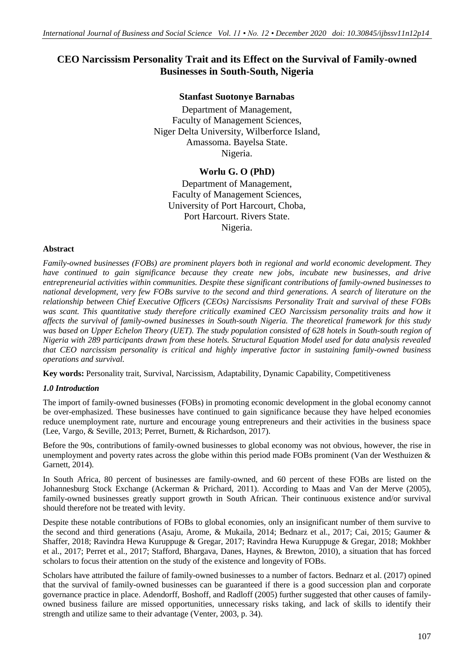# **CEO Narcissism Personality Trait and its Effect on the Survival of Family-owned Businesses in South-South, Nigeria**

# **Stanfast Suotonye Barnabas**

Department of Management, Faculty of Management Sciences, Niger Delta University, Wilberforce Island, Amassoma. Bayelsa State. Nigeria.

# **Worlu G. O (PhD)**

Department of Management, Faculty of Management Sciences, University of Port Harcourt, Choba, Port Harcourt. Rivers State. Nigeria.

#### **Abstract**

*Family-owned businesses (FOBs) are prominent players both in regional and world economic development. They have continued to gain significance because they create new jobs, incubate new businesses, and drive entrepreneurial activities within communities. Despite these significant contributions of family-owned businesses to national development, very few FOBs survive to the second and third generations. A search of literature on the relationship between Chief Executive Officers (CEOs) Narcissisms Personality Trait and survival of these FOBs*  was scant. This quantitative study therefore critically examined CEO Narcissism personality traits and how it *affects the survival of family-owned businesses in South-south Nigeria. The theoretical framework for this study*  was based on Upper Echelon Theory (UET). The study population consisted of 628 hotels in South-south region of *Nigeria with 289 participants drawn from these hotels. Structural Equation Model used for data analysis revealed that CEO narcissism personality is critical and highly imperative factor in sustaining family-owned business operations and survival.*

**Key words:** Personality trait, Survival, Narcissism, Adaptability, Dynamic Capability, Competitiveness

#### *1.0 Introduction*

The import of family-owned businesses (FOBs) in promoting economic development in the global economy cannot be over-emphasized. These businesses have continued to gain significance because they have helped economies reduce unemployment rate, nurture and encourage young entrepreneurs and their activities in the business space (Lee, Vargo, & Seville, 2013; Perret, Burnett, & Richardson, 2017).

Before the 90s, contributions of family-owned businesses to global economy was not obvious, however, the rise in unemployment and poverty rates across the globe within this period made FOBs prominent (Van der Westhuizen & Garnett, 2014).

In South Africa, 80 percent of businesses are family-owned, and 60 percent of these FOBs are listed on the Johannesburg Stock Exchange (Ackerman & Prichard, 2011). According to Maas and Van der Merve (2005), family-owned businesses greatly support growth in South African. Their continuous existence and/or survival should therefore not be treated with levity.

Despite these notable contributions of FOBs to global economies, only an insignificant number of them survive to the second and third generations (Asaju, Arome, & Mukaila, 2014; Bednarz et al., 2017; Cai, 2015; Gaumer & Shaffer, 2018; Ravindra Hewa Kuruppuge & Gregar, 2017; Ravindra Hewa Kuruppuge & Gregar, 2018; Mokhber et al., 2017; Perret et al., 2017; Stafford, Bhargava, Danes, Haynes, & Brewton, 2010), a situation that has forced scholars to focus their attention on the study of the existence and longevity of FOBs.

Scholars have attributed the failure of family-owned businesses to a number of factors. Bednarz et al. (2017) opined that the survival of family-owned businesses can be guaranteed if there is a good succession plan and corporate governance practice in place. Adendorff, Boshoff, and Radloff (2005) further suggested that other causes of familyowned business failure are missed opportunities, unnecessary risks taking, and lack of skills to identify their strength and utilize same to their advantage (Venter, 2003, p. 34).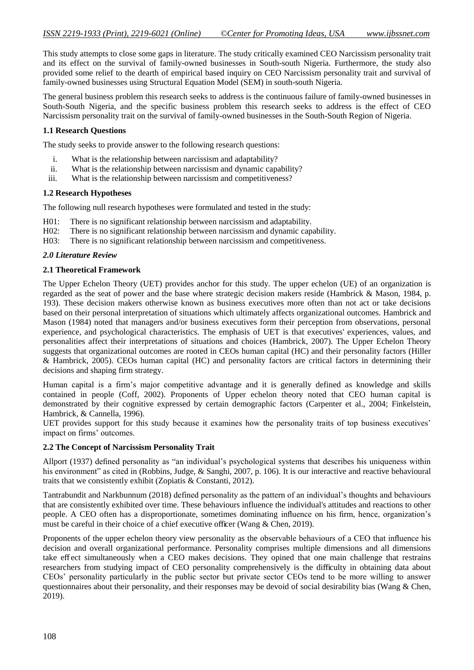This study attempts to close some gaps in literature. The study critically examined CEO Narcissism personality trait and its effect on the survival of family-owned businesses in South-south Nigeria. Furthermore, the study also provided some relief to the dearth of empirical based inquiry on CEO Narcissism personality trait and survival of family-owned businesses using Structural Equation Model (SEM) in south-south Nigeria.

The general business problem this research seeks to address is the continuous failure of family-owned businesses in South-South Nigeria, and the specific business problem this research seeks to address is the effect of CEO Narcissism personality trait on the survival of family-owned businesses in the South-South Region of Nigeria.

# **1.1 Research Questions**

The study seeks to provide answer to the following research questions:

- i. What is the relationship between narcissism and adaptability?
- ii. What is the relationship between narcissism and dynamic capability?
- iii. What is the relationship between narcissism and competitiveness?

# **1.2 Research Hypotheses**

The following null research hypotheses were formulated and tested in the study:

- H01: There is no significant relationship between narcissism and adaptability.
- H02: There is no significant relationship between narcissism and dynamic capability.
- H03: There is no significant relationship between narcissism and competitiveness.

# *2.0 Literature Review*

# **2.1 Theoretical Framework**

The Upper Echelon Theory (UET) provides anchor for this study. The upper echelon (UE) of an organization is regarded as the seat of power and the base where strategic decision makers reside (Hambrick & Mason, 1984, p. 193). These decision makers otherwise known as business executives more often than not act or take decisions based on their personal interpretation of situations which ultimately affects organizational outcomes. Hambrick and Mason (1984) noted that managers and/or business executives form their perception from observations, personal experience, and psychological characteristics. The emphasis of UET is that executives' experiences, values, and personalities affect their interpretations of situations and choices (Hambrick, 2007). The Upper Echelon Theory suggests that organizational outcomes are rooted in CEOs human capital (HC) and their personality factors (Hiller & Hambrick, 2005). CEOs human capital (HC) and personality factors are critical factors in determining their decisions and shaping firm strategy.

Human capital is a firm's major competitive advantage and it is generally defined as knowledge and skills contained in people (Coff, 2002). Proponents of Upper echelon theory noted that CEO human capital is demonstrated by their cognitive expressed by certain demographic factors (Carpenter et al., 2004; Finkelstein, Hambrick, & Cannella, 1996).

UET provides support for this study because it examines how the personality traits of top business executives' impact on firms' outcomes.

#### **2.2 The Concept of Narcissism Personality Trait**

Allport (1937) defined personality as "an individual's psychological systems that describes his uniqueness within his environment" as cited in (Robbins, Judge, & Sanghi, 2007, p. 106). It is our interactive and reactive behavioural traits that we consistently exhibit (Zopiatis & Constanti, 2012).

Tantrabundit and Narkbunnum (2018) defined personality as the pattern of an individual's thoughts and behaviours that are consistently exhibited over time. These behaviours influence the individual's attitudes and reactions to other people. A CEO often has a disproportionate, sometimes dominating influence on his firm, hence, organization's must be careful in their choice of a chief executive officer (Wang & Chen, 2019).

Proponents of the upper echelon theory view personality as the observable behaviours of a CEO that influence his decision and overall organizational performance. Personality comprises multiple dimensions and all dimensions take eff ect simultaneously when a CEO makes decisions. They opined that one main challenge that restrains researchers from studying impact of CEO personality comprehensively is the difficulty in obtaining data about CEOs' personality particularly in the public sector but private sector CEOs tend to be more willing to answer questionnaires about their personality, and their responses may be devoid of social desirability bias (Wang & Chen, 2019).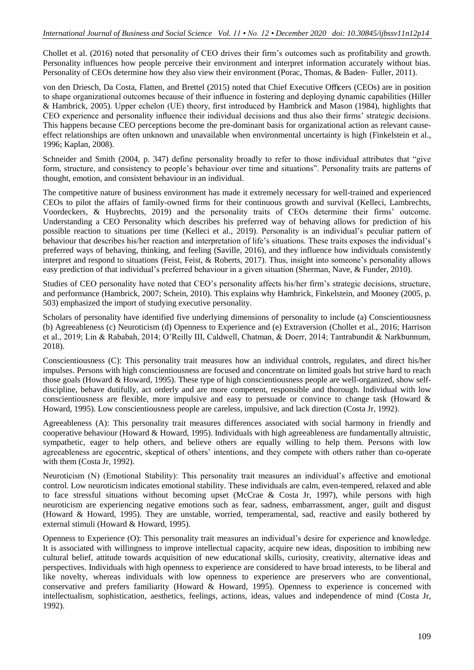Chollet et al. (2016) noted that personality of CEO drives their firm's outcomes such as profitability and growth. Personality influences how people perceive their environment and interpret information accurately without bias. Personality of CEOs determine how they also view their environment (Porac, Thomas, & Baden‐ Fuller, 2011).

von den Driesch, Da Costa, Flatten, and Brettel (2015) noted that Chief Executive Officers (CEOs) are in position to shape organizational outcomes because of their influence in fostering and deploying dynamic capabilities (Hiller & Hambrick, 2005). Upper echelon (UE) theory, first introduced by Hambrick and Mason (1984), highlights that CEO experience and personality influence their individual decisions and thus also their firms' strategic decisions. This happens because CEO perceptions become the pre-dominant basis for organizational action as relevant causeeffect relationships are often unknown and unavailable when environmental uncertainty is high (Finkelstein et al., 1996; Kaplan, 2008).

Schneider and Smith (2004, p. 347) define personality broadly to refer to those individual attributes that "give form, structure, and consistency to people's behaviour over time and situations". Personality traits are patterns of thought, emotion, and consistent behaviour in an individual.

The competitive nature of business environment has made it extremely necessary for well-trained and experienced CEOs to pilot the affairs of family-owned firms for their continuous growth and survival (Kelleci, Lambrechts, Voordeckers, & Huybrechts, 2019) and the personality traits of CEOs determine their firms' outcome. Understanding a CEO Personality which describes his preferred way of behaving allows for prediction of his possible reaction to situations per time (Kelleci et al., 2019). Personality is an individual's peculiar pattern of behaviour that describes his/her reaction and interpretation of life's situations. These traits exposes the individual's preferred ways of behaving, thinking, and feeling (Saville, 2016), and they influence how individuals consistently interpret and respond to situations (Feist, Feist, & Roberts, 2017). Thus, insight into someone's personality allows easy prediction of that individual's preferred behaviour in a given situation (Sherman, Nave, & Funder, 2010).

Studies of CEO personality have noted that CEO's personality affects his/her firm's strategic decisions, structure, and performance (Hambrick, 2007; Schein, 2010). This explains why Hambrick, Finkelstein, and Mooney (2005, p. 503) emphasized the import of studying executive personality.

Scholars of personality have identified five underlying dimensions of personality to include (a) Conscientiousness (b) Agreeableness (c) Neuroticism (d) Openness to Experience and (e) Extraversion (Chollet et al., 2016; Harrison et al., 2019; Lin & Rababah, 2014; O'Reilly III, Caldwell, Chatman, & Doerr, 2014; Tantrabundit & Narkbunnum, 2018).

Conscientiousness (C): This personality trait measures how an individual controls, regulates, and direct his/her impulses. Persons with high conscientiousness are focused and concentrate on limited goals but strive hard to reach those goals (Howard & Howard, 1995). These type of high conscientiousness people are well-organized, show selfdiscipline, behave dutifully, act orderly and are more competent, responsible and thorough. Individual with low conscientiousness are flexible, more impulsive and easy to persuade or convince to change task (Howard & Howard, 1995). Low conscientiousness people are careless, impulsive, and lack direction (Costa Jr, 1992).

Agreeableness (A): This personality trait measures differences associated with social harmony in friendly and cooperative behaviour (Howard & Howard, 1995). Individuals with high agreeableness are fundamentally altruistic, sympathetic, eager to help others, and believe others are equally willing to help them. Persons with low agreeableness are egocentric, skeptical of others' intentions, and they compete with others rather than co-operate with them (Costa Jr, 1992).

Neuroticism (N) (Emotional Stability): This personality trait measures an individual's affective and emotional control. Low neuroticism indicates emotional stability. These individuals are calm, even-tempered, relaxed and able to face stressful situations without becoming upset (McCrae & Costa Jr, 1997), while persons with high neuroticism are experiencing negative emotions such as fear, sadness, embarrassment, anger, guilt and disgust (Howard & Howard, 1995). They are unstable, worried, temperamental, sad, reactive and easily bothered by external stimuli (Howard & Howard, 1995).

Openness to Experience (O): This personality trait measures an individual's desire for experience and knowledge. It is associated with willingness to improve intellectual capacity, acquire new ideas, disposition to imbibing new cultural belief, attitude towards acquisition of new educational skills, curiosity, creativity, alternative ideas and perspectives. Individuals with high openness to experience are considered to have broad interests, to be liberal and like novelty, whereas individuals with low openness to experience are preservers who are conventional, conservative and prefers familiarity (Howard & Howard, 1995). Openness to experience is concerned with intellectualism, sophistication, aesthetics, feelings, actions, ideas, values and independence of mind (Costa Jr, 1992).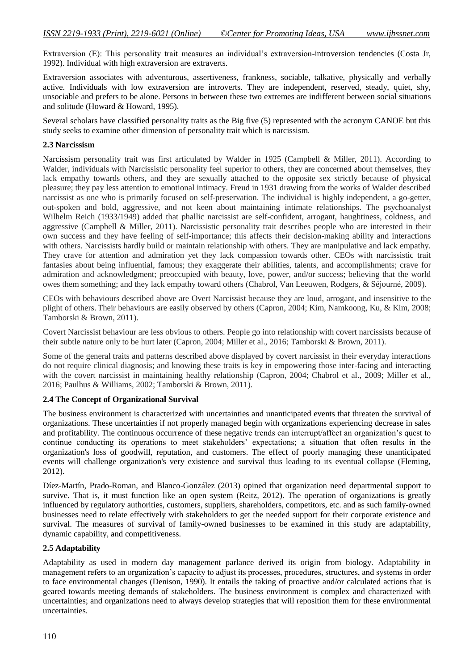Extraversion (E): This personality trait measures an individual's extraversion-introversion tendencies (Costa Jr, 1992). Individual with high extraversion are extraverts.

Extraversion associates with adventurous, assertiveness, frankness, sociable, talkative, physically and verbally active. Individuals with low extraversion are introverts. They are independent, reserved, steady, quiet, shy, unsociable and prefers to be alone. Persons in between these two extremes are indifferent between social situations and solitude (Howard & Howard, 1995).

Several scholars have classified personality traits as the Big five (5) represented with the acronym CANOE but this study seeks to examine other dimension of personality trait which is narcissism.

#### **2.3 Narcissism**

Narcissism personality trait was first articulated by Walder in 1925 (Campbell & Miller, 2011). According to Walder, individuals with Narcissistic personality feel superior to others, they are concerned about themselves, they lack empathy towards others, and they are sexually attached to the opposite sex strictly because of physical pleasure; they pay less attention to emotional intimacy. Freud in 1931 drawing from the works of Walder described narcissist as one who is primarily focused on self-preservation. The individual is highly independent, a go-getter, out-spoken and bold, aggressive, and not keen about maintaining intimate relationships. The psychoanalyst Wilhelm Reich (1933/1949) added that phallic narcissist are self-confident, arrogant, haughtiness, coldness, and aggressive (Campbell & Miller, 2011). Narcissistic personality trait describes people who are interested in their own success and they have feeling of self-importance; this affects their decision-making ability and interactions with others. Narcissists hardly build or maintain relationship with others. They are manipulative and lack empathy. They crave for attention and admiration yet they lack compassion towards other. CEOs with narcissistic trait fantasies about being influential, famous; they exaggerate their abilities, talents, and accomplishments; crave for admiration and acknowledgment; preoccupied with beauty, love, power, and/or success; believing that the world owes them something; and they lack empathy toward others (Chabrol, Van Leeuwen, Rodgers, & Séjourné, 2009).

CEOs with behaviours described above are Overt Narcissist because they are loud, arrogant, and insensitive to the plight of others. Their behaviours are easily observed by others (Capron, 2004; Kim, Namkoong, Ku, & Kim, 2008; Tamborski & Brown, 2011).

Covert Narcissist behaviour are less obvious to others. People go into relationship with covert narcissists because of their subtle nature only to be hurt later (Capron, 2004; Miller et al., 2016; Tamborski & Brown, 2011).

Some of the general traits and patterns described above displayed by covert narcissist in their everyday interactions do not require clinical diagnosis; and knowing these traits is key in empowering those inter-facing and interacting with the covert narcissist in maintaining healthy relationship (Capron, 2004; Chabrol et al., 2009; Miller et al., 2016; Paulhus & Williams, 2002; Tamborski & Brown, 2011).

#### **2.4 The Concept of Organizational Survival**

The business environment is characterized with uncertainties and unanticipated events that threaten the survival of organizations. These uncertainties if not properly managed begin with organizations experiencing decrease in sales and profitability. The continuous occurrence of these negative trends can interrupt/affect an organization's quest to continue conducting its operations to meet stakeholders' expectations; a situation that often results in the organization's loss of goodwill, reputation, and customers. The effect of poorly managing these unanticipated events will challenge organization's very existence and survival thus leading to its eventual collapse (Fleming, 2012).

Díez-Martín, Prado-Roman, and Blanco-González (2013) opined that organization need departmental support to survive. That is, it must function like an open system (Reitz, 2012). The operation of organizations is greatly influenced by regulatory authorities, customers, suppliers, shareholders, competitors, etc. and as such family-owned businesses need to relate effectively with stakeholders to get the needed support for their corporate existence and survival. The measures of survival of family-owned businesses to be examined in this study are adaptability, dynamic capability, and competitiveness.

#### **2.5 Adaptability**

Adaptability as used in modern day management parlance derived its origin from biology. Adaptability in management refers to an organization's capacity to adjust its processes, procedures, structures, and systems in order to face environmental changes (Denison, 1990). It entails the taking of proactive and/or calculated actions that is geared towards meeting demands of stakeholders. The business environment is complex and characterized with uncertainties; and organizations need to always develop strategies that will reposition them for these environmental uncertainties.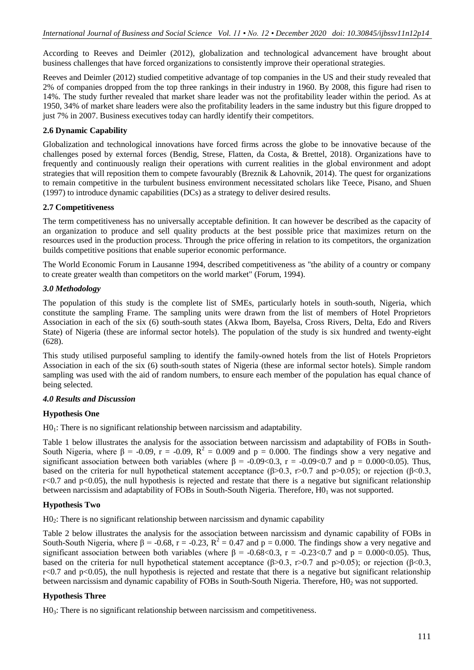According to Reeves and Deimler (2012), globalization and technological advancement have brought about business challenges that have forced organizations to consistently improve their operational strategies.

Reeves and Deimler (2012) studied competitive advantage of top companies in the US and their study revealed that 2% of companies dropped from the top three rankings in their industry in 1960. By 2008, this figure had risen to 14%. The study further revealed that market share leader was not the profitability leader within the period. As at 1950, 34% of market share leaders were also the profitability leaders in the same industry but this figure dropped to just 7% in 2007. Business executives today can hardly identify their competitors.

# **2.6 Dynamic Capability**

Globalization and technological innovations have forced firms across the globe to be innovative because of the challenges posed by external forces (Bendig, Strese, Flatten, da Costa, & Brettel, 2018). Organizations have to frequently and continuously realign their operations with current realities in the global environment and adopt strategies that will reposition them to compete favourably (Breznik & Lahovnik, 2014). The quest for organizations to remain competitive in the turbulent business environment necessitated scholars like Teece, Pisano, and Shuen (1997) to introduce dynamic capabilities (DCs) as a strategy to deliver desired results.

#### **2.7 Competitiveness**

The term competitiveness has no universally acceptable definition. It can however be described as the capacity of an organization to produce and sell quality products at the best possible price that maximizes return on the resources used in the production process. Through the price offering in relation to its competitors, the organization builds competitive positions that enable superior economic performance.

The World Economic Forum in Lausanne 1994, described competitiveness as "the ability of a country or company to create greater wealth than competitors on the world market" (Forum, 1994).

# *3.0 Methodology*

The population of this study is the complete list of SMEs, particularly hotels in south-south, Nigeria, which constitute the sampling Frame. The sampling units were drawn from the list of members of Hotel Proprietors Association in each of the six (6) south-south states (Akwa Ibom, Bayelsa, Cross Rivers, Delta, Edo and Rivers State) of Nigeria (these are informal sector hotels). The population of the study is six hundred and twenty-eight (628).

This study utilised purposeful sampling to identify the family-owned hotels from the list of Hotels Proprietors Association in each of the six (6) south-south states of Nigeria (these are informal sector hotels). Simple random sampling was used with the aid of random numbers, to ensure each member of the population has equal chance of being selected.

# *4.0 Results and Discussion*

# **Hypothesis One**

 $H0<sub>1</sub>$ : There is no significant relationship between narcissism and adaptability.

Table 1 below illustrates the analysis for the association between narcissism and adaptability of FOBs in South-South Nigeria, where β = -0.09, r = -0.09, R<sup>2</sup> = 0.009 and p = 0.000. The findings show a very negative and significant association between both variables (where  $\beta = -0.09 < 0.3$ , r = -0.09<0.7 and p = 0.000<0.05). Thus, based on the criteria for null hypothetical statement acceptance ( $\beta$ >0.3, r>0.7 and p>0.05); or rejection ( $\beta$ <0.3,  $r<0.7$  and  $p<0.05$ ), the null hypothesis is rejected and restate that there is a negative but significant relationship between narcissism and adaptability of FOBs in South-South Nigeria. Therefore,  $H0<sub>1</sub>$  was not supported.

# **Hypothesis Two**

H02: There is no significant relationship between narcissism and dynamic capability

Table 2 below illustrates the analysis for the association between narcissism and dynamic capability of FOBs in South-South Nigeria, where β = -0.68, r = -0.23,  $R^2 = 0.47$  and p = 0.000. The findings show a very negative and significant association between both variables (where  $\beta = -0.68 \lt 0.3$ , r = -0.23 $\lt 0.7$  and p = 0.000 $\lt 0.05$ ). Thus, based on the criteria for null hypothetical statement acceptance ( $\beta$ >0.3, r>0.7 and p>0.05); or rejection ( $\beta$ <0.3,  $r<0.7$  and  $p<0.05$ ), the null hypothesis is rejected and restate that there is a negative but significant relationship between narcissism and dynamic capability of FOBs in South-South Nigeria. Therefore, H0<sub>2</sub> was not supported.

# **Hypothesis Three**

H03: There is no significant relationship between narcissism and competitiveness.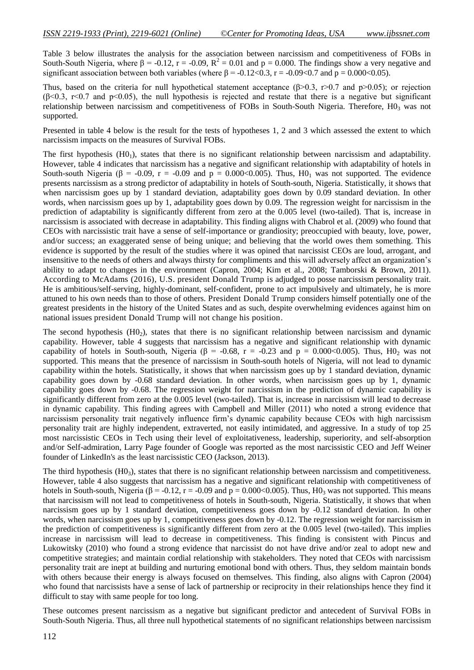Table 3 below illustrates the analysis for the association between narcissism and competitiveness of FOBs in South-South Nigeria, where β = -0.12, r = -0.09,  $R^2 = 0.01$  and p = 0.000. The findings show a very negative and significant association between both variables (where  $\beta = -0.12 < 0.3$ , r = -0.09 < 0.7 and p = 0.000 < 0.05).

Thus, based on the criteria for null hypothetical statement acceptance ( $\beta$ >0.3, r>0.7 and  $p$ >0.05); or rejection  $(\beta \le 0.3, \text{ r} \le 0.7, \text{ and } \text{ p} \le 0.05)$ , the null hypothesis is rejected and restate that there is a negative but significant relationship between narcissism and competitiveness of FOBs in South-South Nigeria. Therefore,  $H0<sub>3</sub>$  was not supported.

Presented in table 4 below is the result for the tests of hypotheses 1, 2 and 3 which assessed the extent to which narcissism impacts on the measures of Survival FOBs.

The first hypothesis  $(H<sub>01</sub>)$ , states that there is no significant relationship between narcissism and adaptability. However, table 4 indicates that narcissism has a negative and significant relationship with adaptability of hotels in South-south Nigeria ( $\beta$  = -0.09, r = -0.09 and p = 0.000 < 0.005). Thus, HO<sub>1</sub> was not supported. The evidence presents narcissism as a strong predictor of adaptability in hotels of South-south, Nigeria. Statistically, it shows that when narcissism goes up by 1 standard deviation, adaptability goes down by 0.09 standard deviation. In other words, when narcissism goes up by 1, adaptability goes down by 0.09. The regression weight for narcissism in the prediction of adaptability is significantly different from zero at the 0.005 level (two-tailed). That is, increase in narcissism is associated with decrease in adaptability. This finding aligns with Chabrol et al. (2009) who found that CEOs with narcissistic trait have a sense of self-importance or grandiosity; preoccupied with beauty, love, power, and/or success; an exaggerated sense of being unique; and believing that the world owes them something. This evidence is supported by the result of the studies where it was opined that narcissist CEOs are loud, arrogant, and insensitive to the needs of others and always thirsty for compliments and this will adversely affect an organization's ability to adapt to changes in the environment (Capron, 2004; Kim et al., 2008; Tamborski & Brown, 2011). According to McAdams (2016), U.S. president Donald Trump is adjudged to posse narcissism personality trait. He is ambitious/self-serving, highly-dominant, self-confident, prone to act impulsively and ultimately, he is more attuned to his own needs than to those of others. President Donald Trump considers himself potentially one of the greatest presidents in the history of the United States and as such, despite overwhelming evidences against him on national issues president Donald Trump will not change his position.

The second hypothesis  $(H0<sub>2</sub>)$ , states that there is no significant relationship between narcissism and dynamic capability. However, table 4 suggests that narcissism has a negative and significant relationship with dynamic capability of hotels in South-south, Nigeria ( $\beta$  = -0.68, r = -0.23 and p = 0.000 < 0.005). Thus, H0<sub>2</sub> was not supported. This means that the presence of narcissism in South-south hotels of Nigeria, will not lead to dynamic capability within the hotels. Statistically, it shows that when narcissism goes up by 1 standard deviation, dynamic capability goes down by -0.68 standard deviation. In other words, when narcissism goes up by 1, dynamic capability goes down by -0.68. The regression weight for narcissism in the prediction of dynamic capability is significantly different from zero at the 0.005 level (two-tailed). That is, increase in narcissism will lead to decrease in dynamic capability. This finding agrees with Campbell and Miller (2011) who noted a strong evidence that narcissism personality trait negatively influence firm's dynamic capability because CEOs with high narcissism personality trait are highly independent, extraverted, not easily intimidated, and aggressive. In a study of top 25 most narcissistic CEOs in Tech using their level of exploitativeness, leadership, superiority, and self-absorption and/or Self-admiration, Larry Page founder of Google was reported as the most narcissistic CEO and Jeff Weiner founder of LinkedIn's as the least narcissistic CEO (Jackson, 2013).

The third hypothesis (H03), states that there is no significant relationship between narcissism and competitiveness. However, table 4 also suggests that narcissism has a negative and significant relationship with competitiveness of hotels in South-south, Nigeria ( $\beta$  = -0.12, r = -0.09 and p = 0.000 < 0.005). Thus, H0<sub>3</sub> was not supported. This means that narcissism will not lead to competitiveness of hotels in South-south, Nigeria. Statistically, it shows that when narcissism goes up by 1 standard deviation, competitiveness goes down by -0.12 standard deviation. In other words, when narcissism goes up by 1, competitiveness goes down by -0.12. The regression weight for narcissism in the prediction of competitiveness is significantly different from zero at the 0.005 level (two-tailed). This implies increase in narcissism will lead to decrease in competitiveness. This finding is consistent with Pincus and Lukowitsky (2010) who found a strong evidence that narcissist do not have drive and/or zeal to adopt new and competitive strategies; and maintain cordial relationship with stakeholders. They noted that CEOs with narcissism personality trait are inept at building and nurturing emotional bond with others. Thus, they seldom maintain bonds with others because their energy is always focused on themselves. This finding, also aligns with Capron (2004) who found that narcissists have a sense of lack of partnership or reciprocity in their relationships hence they find it difficult to stay with same people for too long.

These outcomes present narcissism as a negative but significant predictor and antecedent of Survival FOBs in South-South Nigeria. Thus, all three null hypothetical statements of no significant relationships between narcissism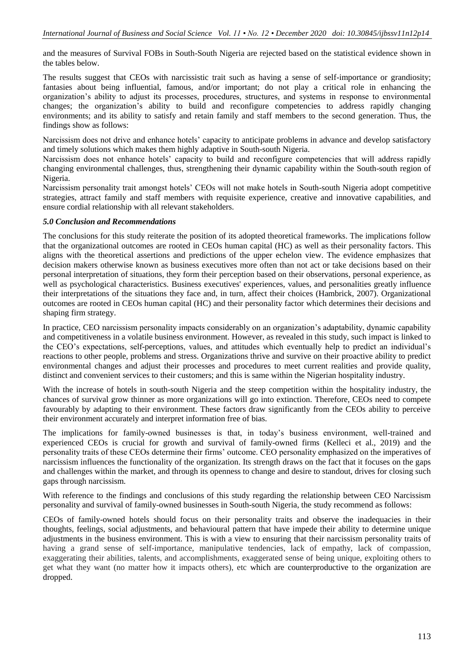and the measures of Survival FOBs in South-South Nigeria are rejected based on the statistical evidence shown in the tables below.

The results suggest that CEOs with narcissistic trait such as having a sense of self-importance or grandiosity; fantasies about being influential, famous, and/or important; do not play a critical role in enhancing the organization's ability to adjust its processes, procedures, structures, and systems in response to environmental changes; the organization's ability to build and reconfigure competencies to address rapidly changing environments; and its ability to satisfy and retain family and staff members to the second generation. Thus, the findings show as follows:

Narcissism does not drive and enhance hotels' capacity to anticipate problems in advance and develop satisfactory and timely solutions which makes them highly adaptive in South-south Nigeria.

Narcissism does not enhance hotels' capacity to build and reconfigure competencies that will address rapidly changing environmental challenges, thus, strengthening their dynamic capability within the South-south region of Nigeria.

Narcissism personality trait amongst hotels' CEOs will not make hotels in South-south Nigeria adopt competitive strategies, attract family and staff members with requisite experience, creative and innovative capabilities, and ensure cordial relationship with all relevant stakeholders.

#### *5.0 Conclusion and Recommendations*

The conclusions for this study reiterate the position of its adopted theoretical frameworks. The implications follow that the organizational outcomes are rooted in CEOs human capital (HC) as well as their personality factors. This aligns with the theoretical assertions and predictions of the upper echelon view. The evidence emphasizes that decision makers otherwise known as business executives more often than not act or take decisions based on their personal interpretation of situations, they form their perception based on their observations, personal experience, as well as psychological characteristics. Business executives' experiences, values, and personalities greatly influence their interpretations of the situations they face and, in turn, affect their choices (Hambrick, 2007). Organizational outcomes are rooted in CEOs human capital (HC) and their personality factor which determines their decisions and shaping firm strategy.

In practice, CEO narcissism personality impacts considerably on an organization's adaptability, dynamic capability and competitiveness in a volatile business environment. However, as revealed in this study, such impact is linked to the CEO's expectations, self-perceptions, values, and attitudes which eventually help to predict an individual's reactions to other people, problems and stress. Organizations thrive and survive on their proactive ability to predict environmental changes and adjust their processes and procedures to meet current realities and provide quality, distinct and convenient services to their customers; and this is same within the Nigerian hospitality industry.

With the increase of hotels in south-south Nigeria and the steep competition within the hospitality industry, the chances of survival grow thinner as more organizations will go into extinction. Therefore, CEOs need to compete favourably by adapting to their environment. These factors draw significantly from the CEOs ability to perceive their environment accurately and interpret information free of bias.

The implications for family-owned businesses is that, in today's business environment, well-trained and experienced CEOs is crucial for growth and survival of family-owned firms (Kelleci et al., 2019) and the personality traits of these CEOs determine their firms' outcome. CEO personality emphasized on the imperatives of narcissism influences the functionality of the organization. Its strength draws on the fact that it focuses on the gaps and challenges within the market, and through its openness to change and desire to standout, drives for closing such gaps through narcissism.

With reference to the findings and conclusions of this study regarding the relationship between CEO Narcissism personality and survival of family-owned businesses in South-south Nigeria, the study recommend as follows:

CEOs of family-owned hotels should focus on their personality traits and observe the inadequacies in their thoughts, feelings, social adjustments, and behavioural pattern that have impede their ability to determine unique adjustments in the business environment. This is with a view to ensuring that their narcissism personality traits of having a grand sense of self-importance, manipulative tendencies, lack of empathy, lack of compassion, exaggerating their abilities, talents, and accomplishments, exaggerated sense of being unique, exploiting others to get what they want (no matter how it impacts others), etc which are counterproductive to the organization are dropped.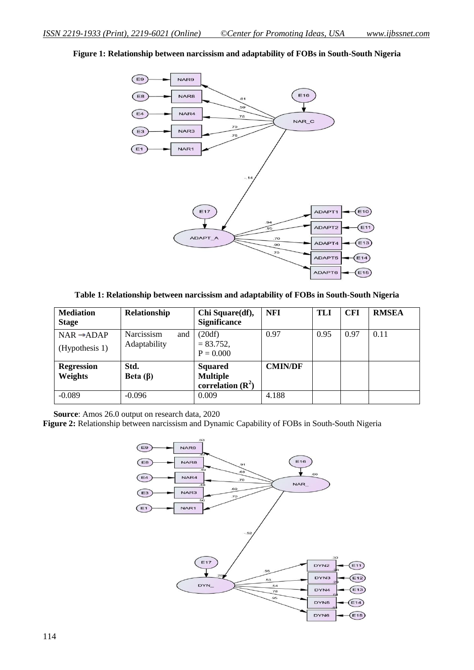$\left( \negthinspace \right)$ **NAR9**  $E16$  $(E8)$ **NAR8**  $55$  $(E4)$ NAR4 78 NAR\_C 79 NAR3  $(E3)$  $\overline{76}$  $(E1)$ NAR1  $E10)$ E17 ADAPT1 ADAPT2  $E(11)$ ADAPT  $\frac{70}{2}$ ADAPT4  $E(13)$  $.90$ 70  $E14)$ ADAPT5 ADAPT6  $E(15)$ 

**Figure 1: Relationship between narcissism and adaptability of FOBs in South-South Nigeria**

**Table 1: Relationship between narcissism and adaptability of FOBs in South-South Nigeria**

| <b>Mediation</b><br><b>Stage</b> | Relationship      | Chi Square(df),<br><b>Significance</b> | NFI            | <b>TLI</b> | <b>CFI</b> | <b>RMSEA</b> |
|----------------------------------|-------------------|----------------------------------------|----------------|------------|------------|--------------|
| $NAR \rightarrow ADAP$           | Narcissism<br>and | (20df)                                 | 0.97           | 0.95       | 0.97       | 0.11         |
| (Hypothesis 1)                   | Adaptability      | $= 83.752,$<br>$P = 0.000$             |                |            |            |              |
| <b>Regression</b>                | Std.              | <b>Squared</b>                         | <b>CMIN/DF</b> |            |            |              |
| Weights<br>Beta $(\beta)$        |                   | <b>Multiple</b>                        |                |            |            |              |
|                                  |                   | correlation $(R^2)$                    |                |            |            |              |
| $-0.089$                         | $-0.096$          | 0.009                                  | 4.188          |            |            |              |

 **Source**: Amos 26.0 output on research data, 2020

**Figure 2:** Relationship between narcissism and Dynamic Capability of FOBs in South-South Nigeria

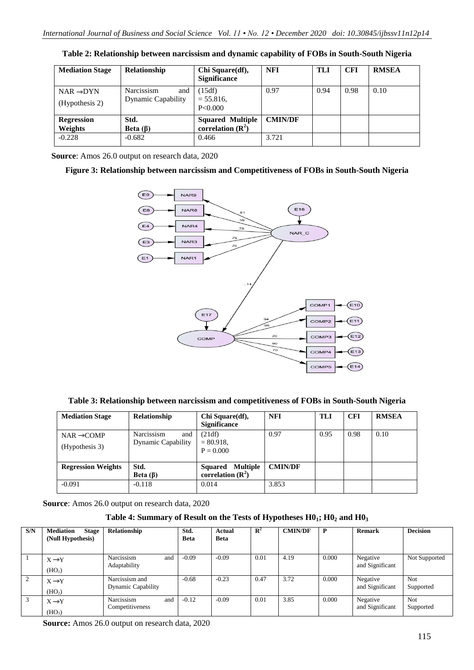| <b>Mediation Stage</b>                   | <b>Relationship</b>                            | Chi Square(df),<br><b>Significance</b>                           | <b>NFI</b>              | TLI  | <b>CFI</b> | <b>RMSEA</b> |
|------------------------------------------|------------------------------------------------|------------------------------------------------------------------|-------------------------|------|------------|--------------|
| $NAR \rightarrow DYN$<br>(Hypothesis 2)  | Narcissism<br>and<br><b>Dynamic Capability</b> | (15df)<br>$= 55.816.$<br>P<0.000                                 | 0.97                    | 0.94 | 0.98       | 0.10         |
| <b>Regression</b><br>Weights<br>$-0.228$ | Std.<br>Beta $(\beta)$<br>$-0.682$             | <b>Squared Multiple</b><br>correlation $(\mathbb{R}^2)$<br>0.466 | <b>CMIN/DF</b><br>3.721 |      |            |              |

**Table 2: Relationship between narcissism and dynamic capability of FOBs in South-South Nigeria**

 **Source**: Amos 26.0 output on research data, 2020

#### **Figure 3: Relationship between narcissism and Competitiveness of FOBs in South-South Nigeria**



**Table 3: Relationship between narcissism and competitiveness of FOBs in South-South Nigeria**

| <b>Mediation Stage</b>    | <b>Relationship</b>       | Chi Square(df),              | <b>NFI</b>     | <b>TLI</b> | <b>CFI</b> | <b>RMSEA</b> |
|---------------------------|---------------------------|------------------------------|----------------|------------|------------|--------------|
|                           |                           | <b>Significance</b>          |                |            |            |              |
| $NAR \rightarrow COMP$    | Narcissism<br>and         | (21df)                       | 0.97           | 0.95       | 0.98       | 0.10         |
| (Hypothesis 3)            | <b>Dynamic Capability</b> | $= 80.918.$                  |                |            |            |              |
|                           |                           | $P = 0.000$                  |                |            |            |              |
|                           |                           |                              |                |            |            |              |
| <b>Regression Weights</b> | Std.                      | <b>Multiple</b><br>Squared   | <b>CMIN/DF</b> |            |            |              |
|                           | Beta $(\beta)$            | correlation $(\mathbb{R}^2)$ |                |            |            |              |
| $-0.091$                  | $-0.118$                  | 0.014                        | 3.853          |            |            |              |
|                           |                           |                              |                |            |            |              |

**Source**: Amos 26.0 output on research data, 2020

#### **Table 4: Summary of Result on the Tests of Hypotheses H01; H0<sup>2</sup> and H0<sup>3</sup>**

| S/N | <b>Mediation</b><br><b>Stage</b><br>(Null Hypothesis) | Relationship                                | Std.<br><b>Beta</b> | Actual<br><b>Beta</b> | $\mathbf{R}^2$ | <b>CMIN/DF</b> | $\mathbf{P}$ | <b>Remark</b>               | <b>Decision</b>         |
|-----|-------------------------------------------------------|---------------------------------------------|---------------------|-----------------------|----------------|----------------|--------------|-----------------------------|-------------------------|
|     | $X \rightarrow Y$<br>(HO <sub>1</sub> )               | Narcissism<br>and<br>Adaptability           | $-0.09$             | $-0.09$               | 0.01           | 4.19           | 0.000        | Negative<br>and Significant | Not Supported           |
|     | $X \rightarrow Y$<br>(HO <sub>2</sub> )               | Narcissism and<br><b>Dynamic Capability</b> | $-0.68$             | $-0.23$               | 0.47           | 3.72           | 0.000        | Negative<br>and Significant | <b>Not</b><br>Supported |
|     | $X \rightarrow Y$<br>(HO <sub>3</sub> )               | Narcissism<br>and<br>Competitiveness        | $-0.12$             | $-0.09$               | 0.01           | 3.85           | 0.000        | Negative<br>and Significant | Not<br>Supported        |

**Source:** Amos 26.0 output on research data, 2020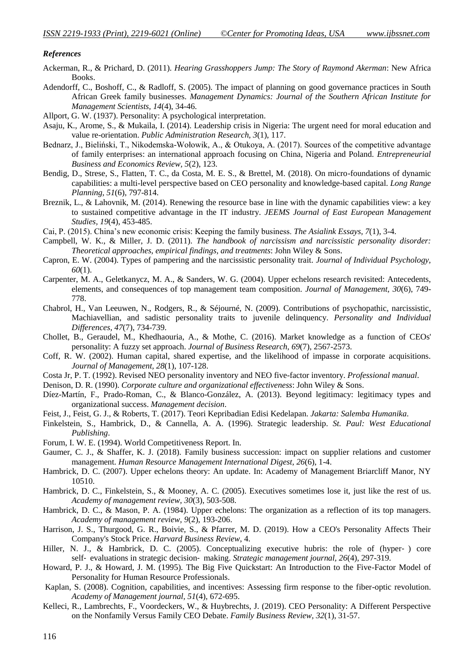#### *References*

- Ackerman, R., & Prichard, D. (2011). *Hearing Grasshoppers Jump: The Story of Raymond Akerman*: New Africa Books.
- Adendorff, C., Boshoff, C., & Radloff, S. (2005). The impact of planning on good governance practices in South African Greek family businesses. *Management Dynamics: Journal of the Southern African Institute for Management Scientists, 14*(4), 34-46.
- Allport, G. W. (1937). Personality: A psychological interpretation.
- Asaju, K., Arome, S., & Mukaila, I. (2014). Leadership crisis in Nigeria: The urgent need for moral education and value re-orientation. *Public Administration Research, 3*(1), 117.
- Bednarz, J., Bieliński, T., Nikodemska-Wołowik, A., & Otukoya, A. (2017). Sources of the competitive advantage of family enterprises: an international approach focusing on China, Nigeria and Poland. *Entrepreneurial Business and Economics Review, 5*(2), 123.
- Bendig, D., Strese, S., Flatten, T. C., da Costa, M. E. S., & Brettel, M. (2018). On micro-foundations of dynamic capabilities: a multi-level perspective based on CEO personality and knowledge-based capital. *Long Range Planning, 51*(6), 797-814.
- Breznik, L., & Lahovnik, M. (2014). Renewing the resource base in line with the dynamic capabilities view: a key to sustained competitive advantage in the IT industry. *JEEMS Journal of East European Management Studies, 19*(4), 453-485.
- Cai, P. (2015). China's new economic crisis: Keeping the family business. *The Asialink Essays, 7*(1), 3-4.
- Campbell, W. K., & Miller, J. D. (2011). *The handbook of narcissism and narcissistic personality disorder: Theoretical approaches, empirical findings, and treatments*: John Wiley & Sons.
- Capron, E. W. (2004). Types of pampering and the narcissistic personality trait. *Journal of Individual Psychology, 60*(1).
- Carpenter, M. A., Geletkanycz, M. A., & Sanders, W. G. (2004). Upper echelons research revisited: Antecedents, elements, and consequences of top management team composition. *Journal of Management, 30*(6), 749- 778.
- Chabrol, H., Van Leeuwen, N., Rodgers, R., & Séjourné, N. (2009). Contributions of psychopathic, narcissistic, Machiavellian, and sadistic personality traits to juvenile delinquency. *Personality and Individual Differences, 47*(7), 734-739.
- Chollet, B., Geraudel, M., Khedhaouria, A., & Mothe, C. (2016). Market knowledge as a function of CEOs' personality: A fuzzy set approach. *Journal of Business Research, 69*(7), 2567-2573.
- Coff, R. W. (2002). Human capital, shared expertise, and the likelihood of impasse in corporate acquisitions. *Journal of Management, 28*(1), 107-128.
- Costa Jr, P. T. (1992). Revised NEO personality inventory and NEO five-factor inventory. *Professional manual*.
- Denison, D. R. (1990). *Corporate culture and organizational effectiveness*: John Wiley & Sons.
- Díez-Martín, F., Prado-Roman, C., & Blanco-González, A. (2013). Beyond legitimacy: legitimacy types and organizational success. *Management decision*.
- Feist, J., Feist, G. J., & Roberts, T. (2017). Teori Kepribadian Edisi Kedelapan. *Jakarta: Salemba Humanika*.
- Finkelstein, S., Hambrick, D., & Cannella, A. A. (1996). Strategic leadership. *St. Paul: West Educational Publishing*.
- Forum, I. W. E. (1994). World Competitiveness Report. In.
- Gaumer, C. J., & Shaffer, K. J. (2018). Family business succession: impact on supplier relations and customer management. *Human Resource Management International Digest, 26*(6), 1-4.
- Hambrick, D. C. (2007). Upper echelons theory: An update. In: Academy of Management Briarcliff Manor, NY 10510.
- Hambrick, D. C., Finkelstein, S., & Mooney, A. C. (2005). Executives sometimes lose it, just like the rest of us. *Academy of management review, 30*(3), 503-508.
- Hambrick, D. C., & Mason, P. A. (1984). Upper echelons: The organization as a reflection of its top managers. *Academy of management review, 9*(2), 193-206.
- Harrison, J. S., Thurgood, G. R., Boivie, S., & Pfarrer, M. D. (2019). How a CEO's Personality Affects Their Company's Stock Price. *Harvard Business Review*, 4.
- Hiller, N. J., & Hambrick, D. C. (2005). Conceptualizing executive hubris: the role of (hyper-) core self‐ evaluations in strategic decision‐ making. *Strategic management journal, 26*(4), 297-319.
- Howard, P. J., & Howard, J. M. (1995). The Big Five Quickstart: An Introduction to the Five-Factor Model of Personality for Human Resource Professionals.
- Kaplan, S. (2008). Cognition, capabilities, and incentives: Assessing firm response to the fiber-optic revolution. *Academy of Management journal, 51*(4), 672-695.
- Kelleci, R., Lambrechts, F., Voordeckers, W., & Huybrechts, J. (2019). CEO Personality: A Different Perspective on the Nonfamily Versus Family CEO Debate. *Family Business Review, 32*(1), 31-57.